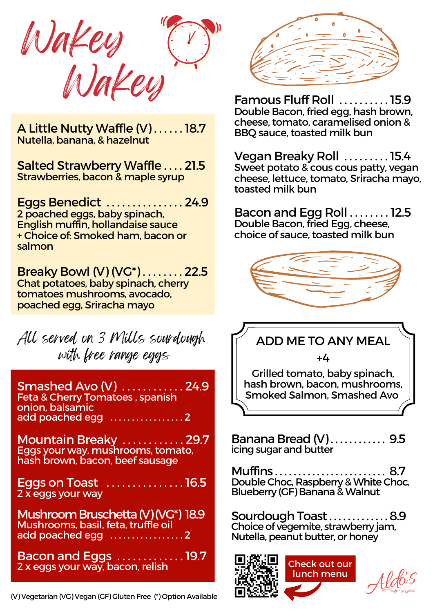



A Little Nutty Waffle (V) . . . . . . 18.7 Nutella, banana, & hazelnut

Salted Strawberry Waffle . . . . 21.5 Strawberries, bacon & maple syrup

Eggs Benedict . . . . . . . . . . . . . . . 24.9 2 poached eggs, baby spinach, English muffin, hollandaise sauce + Choice of: Smoked ham, bacon or salmon

Breaky Bowl (V) (VG\*) . . . . . . . . 22.5 Chat potatoes, baby spinach, cherry tomatoes mushrooms, avocado, poached egg, Sriracha mayo

All served on 3 Mills sourdough with free range eggs

Smashed Avo (V) . . . . . . . . . . . . 24.9 Feta & Cherry Tomatoes , spanish onion, balsamic add poached egg . . . . . . . . . . . . . . . . . 2

Mountain Breaky ............. 29.7 Eggs your way, mushrooms, tomato, hash brown, bacon, beef sausage

Eggs on Toast . . . . . . . . . . . . . . . 16.5 2 x eggs your way

Mushroom Bruschetta(V)(VG\*) 18.9 Mushrooms, basil, feta, truffle oil add poached egg .....................2

Bacon and Eggs . . . . . . . . . . . . . 19.7 2 x eggs your way, bacon, relish



Famous Fluff Roll . . . . . . . . . . 15.9 Double Bacon, fried egg, hash brown, cheese, tomato, caramelised onion & BBQ sauce, toasted milk bun

Vegan Breaky Roll . . . . . . . . . 15.4 Sweet potato & cous cous patty, vegan cheese, lettuce, tomato, Sriracha mayo, toasted milk bun

Bacon and Egg Roll . . . . . . . . 12.5 Double Bacon, fried Egg, cheese, choice of sauce, toasted milk bun



ADD ME TO ANY MEAL

 $+4$ 

Grilled tomato, baby spinach, hash brown, bacon, mushrooms, Smoked Salmon, Smashed Avo

Banana Bread (V)............. 9.5 icing sugar and butter

Muffins . . . . . . . . . . . . . . . . . . . . . . . . 8.7 Double Choc, Raspberry & White Choc, Blueberry (GF) Banana&Walnut

Sourdough Toast . . . . . . . . . . . . 8.9 Choice of vegemite, strawberry jam, Nutella, peanut butter, or honey



Check out our lunch menu